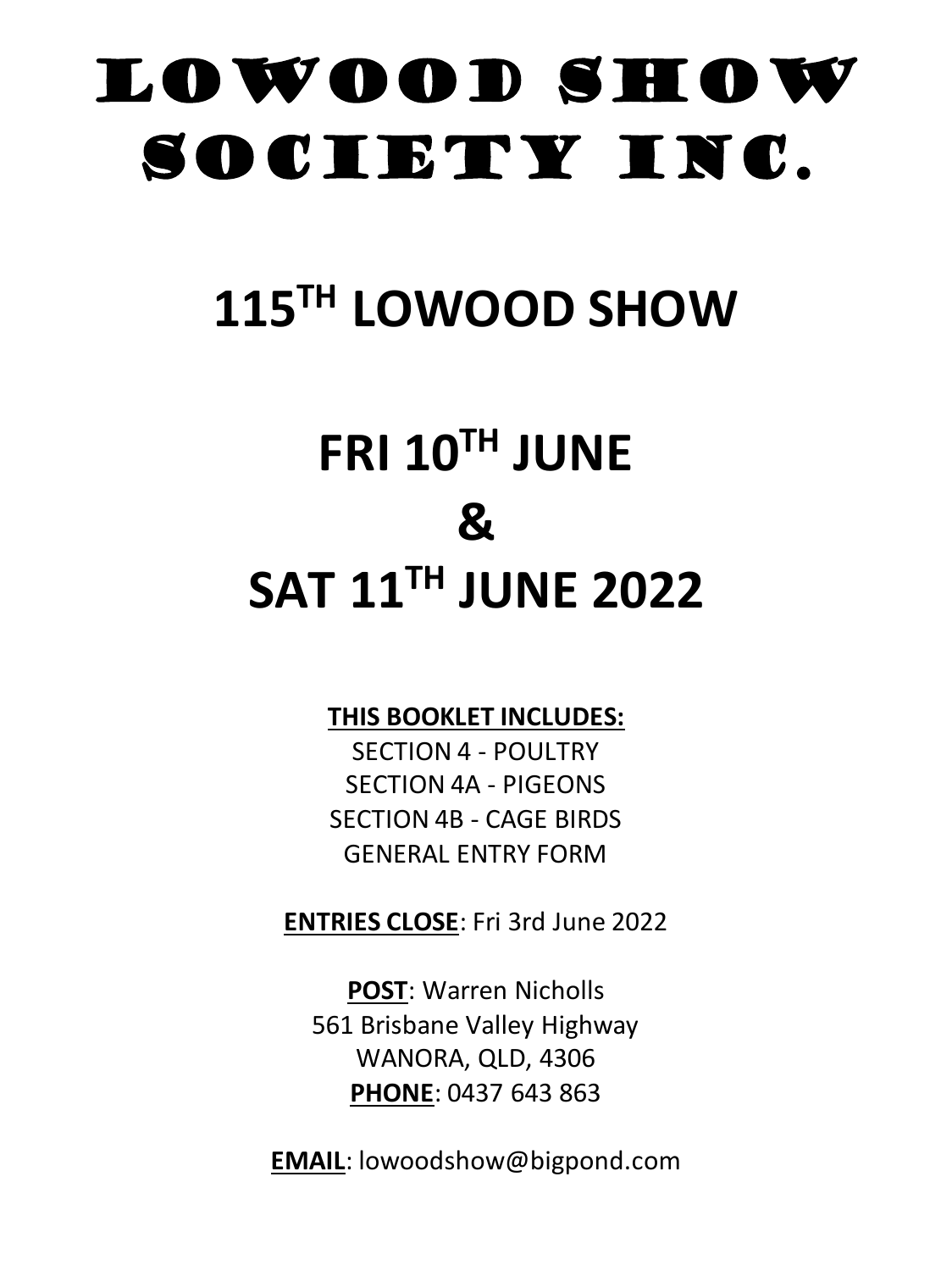# lowood SHOW SOCIETY INC.

# **115 TH LOWOOD SHOW**

# **FRI 10 TH JUNE & SAT 11 TH JUNE 2022**

# **THIS BOOKLET INCLUDES:**

SECTION 4 - POULTRY SECTION 4A - PIGEONS SECTION 4B - CAGE BIRDS GENERAL ENTRY FORM

**ENTRIES CLOSE**: Fri 3rd June 2022

**POST**: Warren Nicholls 561 Brisbane Valley Highway WANORA, QLD, 4306 **PHONE**: 0437 643 863

**EMAIL**: lowoodshow@bigpond.com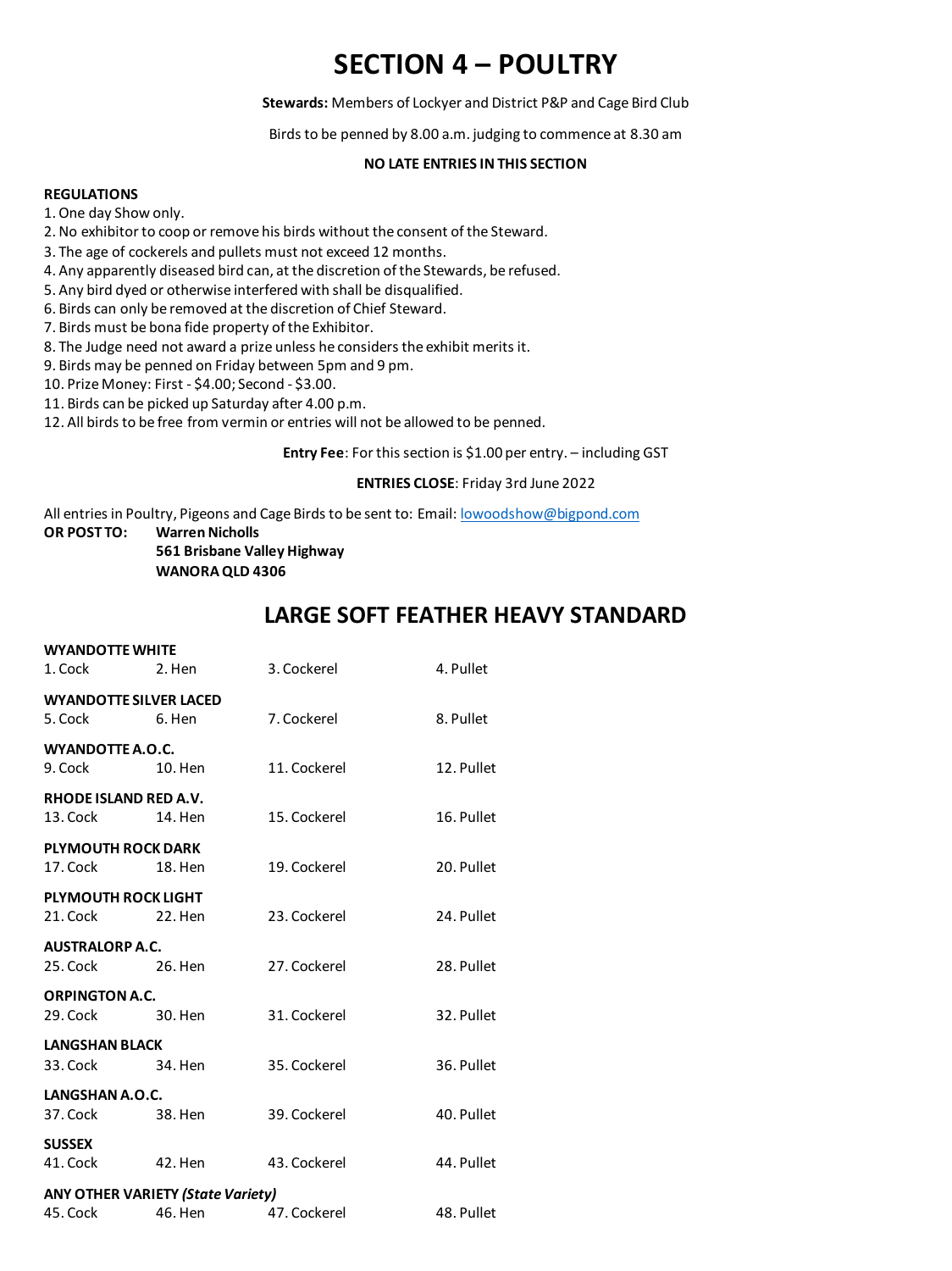# **SECTION 4 – POULTRY**

**Stewards:** Members of Lockyer and District P&P and Cage Bird Club

Birds to be penned by 8.00 a.m. judging to commence at 8.30 am

## **NO LATE ENTRIES IN THIS SECTION**

#### **REGULATIONS**

1. One day Show only.

- 2. No exhibitor to coop or remove his birds without the consent of the Steward.
- 3. The age of cockerels and pullets must not exceed 12 months.
- 4. Any apparently diseased bird can, at the discretion of the Stewards, be refused.
- 5. Any bird dyed or otherwise interfered with shall be disqualified.
- 6. Birds can only be removed at the discretion of Chief Steward.
- 7. Birds must be bona fide property of the Exhibitor.
- 8. The Judge need not award a prize unless he considers the exhibit merits it.
- 9. Birds may be penned on Friday between 5pm and 9 pm.
- 10. Prize Money: First \$4.00; Second \$3.00.
- 11. Birds can be picked up Saturday after 4.00 p.m.
- 12. All birds to be free from vermin or entries will not be allowed to be penned.

**Entry Fee**: For this section is \$1.00 per entry. – including GST

#### **ENTRIES CLOSE**: Friday 3rd June 2022

All entries in Poultry, Pigeons and Cage Birds to be sent to: Email: <u>lowoodshow@bigpond.com</u><br>OR POST TO: Warren Nicholls

**Warren Nicholls** 

**561 Brisbane Valley Highway WANORA QLD 4306**

## **LARGE SOFT FEATHER HEAVY STANDARD**

| <b>WYANDOTTE WHITE</b><br>1. Cock Learning    | 2. Hen                                              | 3. Cockerel  | 4. Pullet  |
|-----------------------------------------------|-----------------------------------------------------|--------------|------------|
| <b>WYANDOTTE SILVER LACED</b><br>5. Cock      | 6. Hen                                              | 7. Cockerel  | 8. Pullet  |
| WYANDOTTE A.O.C.                              | 10. Hen                                             | 11. Cockerel | 12. Pullet |
| RHODE ISLAND RED A.V.<br>13. Cock             | 14. Hen                                             | 15. Cockerel | 16. Pullet |
| <b>PLYMOUTH ROCK DARK</b><br>17. Cock 18. Hen |                                                     | 19. Cockerel | 20. Pullet |
| <b>PLYMOUTH ROCK LIGHT</b><br>21. Cock        | 22. Hen                                             | 23. Cockerel | 24. Pullet |
| <b>AUSTRALORP A.C.</b><br>25. Cock 26. Hen    |                                                     | 27. Cockerel | 28. Pullet |
| <b>ORPINGTON A.C.</b><br>29. Cock 30. Hen     |                                                     | 31. Cockerel | 32. Pullet |
| <b>LANGSHAN BLACK</b><br>33. Cock 34. Hen     |                                                     | 35. Cockerel | 36. Pullet |
| LANGSHAN A.O.C.<br>37. Cock 38. Hen           |                                                     | 39. Cockerel | 40. Pullet |
| <b>SUSSEX</b><br>41. Cock 42. Hen             |                                                     | 43. Cockerel | 44. Pullet |
| 45. Cock                                      | <b>ANY OTHER VARIETY (State Variety)</b><br>46. Hen | 47. Cockerel | 48. Pullet |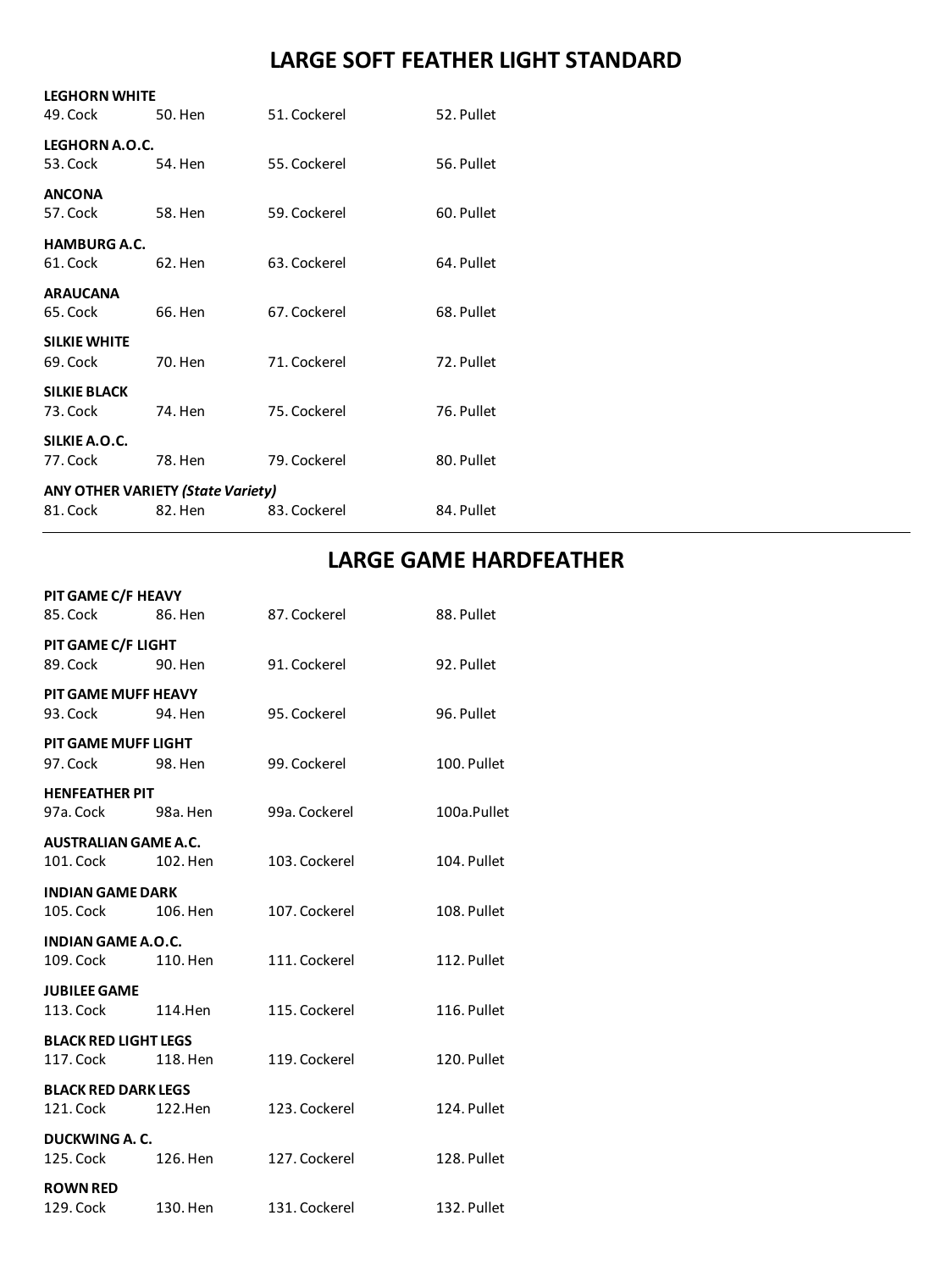# **LARGE SOFT FEATHER LIGHT STANDARD**

| <b>LEGHORN WHITE</b><br>49. Cock | 50. Hen                                  | 51. Cockerel | 52. Pullet |
|----------------------------------|------------------------------------------|--------------|------------|
| LEGHORN A.O.C.<br>53. Cock       | 54. Hen                                  | 55. Cockerel | 56. Pullet |
| <b>ANCONA</b><br>57. Cock        | 58. Hen                                  | 59. Cockerel | 60. Pullet |
| <b>HAMBURG A.C.</b>              |                                          |              |            |
| 61. Cock                         | 62. Hen                                  | 63. Cockerel | 64. Pullet |
| <b>ARAUCANA</b><br>65. Cock      | 66. Hen                                  | 67. Cockerel | 68. Pullet |
| <b>SILKIE WHITE</b><br>69. Cock  | 70. Hen                                  | 71. Cockerel | 72. Pullet |
| <b>SILKIE BLACK</b><br>73. Cock  | 74. Hen                                  | 75. Cockerel | 76. Pullet |
| SILKIE A.O.C.<br>77. Cock        | 78. Hen                                  | 79. Cockerel | 80. Pullet |
|                                  | <b>ANY OTHER VARIETY (State Variety)</b> |              |            |
| 81. Cock                         | 82. Hen                                  | 83. Cockerel | 84. Pullet |

# **LARGE GAME HARDFEATHER**

| PIT GAME C/F HEAVY<br>85. Cock Corp. | 86. Hen  |               |             |
|--------------------------------------|----------|---------------|-------------|
|                                      |          | 87. Cockerel  | 88. Pullet  |
| PIT GAME C/F LIGHT                   |          |               |             |
| 89. Cock                             | 90. Hen  | 91. Cockerel  | 92. Pullet  |
| <b>PIT GAME MUFF HEAVY</b>           |          |               |             |
| 93. Cock                             | 94. Hen  | 95. Cockerel  | 96. Pullet  |
| PIT GAME MUFF LIGHT                  |          |               |             |
| 97. Cock Services                    | 98. Hen  | 99. Cockerel  | 100. Pullet |
| <b>HENFEATHER PIT</b>                |          |               |             |
| 97a. Cock Long                       | 98a. Hen | 99a. Cockerel | 100a.Pullet |
| <b>AUSTRALIAN GAME A.C.</b>          |          |               |             |
| 101. Cock                            | 102. Hen | 103. Cockerel | 104. Pullet |
| <b>INDIAN GAME DARK</b>              |          |               |             |
| 105. Cock <b>Section</b>             | 106. Hen | 107. Cockerel | 108. Pullet |
| <b>INDIAN GAME A.O.C.</b>            |          |               |             |
| 109. Cock <b>Section</b>             | 110. Hen | 111. Cockerel | 112. Pullet |
| <b>JUBILEE GAME</b>                  |          |               |             |
| 113. Cock                            | 114.Hen  | 115. Cockerel | 116. Pullet |
| <b>BLACK RED LIGHT LEGS</b>          |          |               |             |
| 117. Cock                            | 118. Hen | 119. Cockerel | 120. Pullet |
| <b>BLACK RED DARK LEGS</b>           |          |               |             |
| 121. Cock                            | 122.Hen  | 123. Cockerel | 124. Pullet |
| <b>DUCKWING A. C.</b>                |          |               |             |
| 125. Cock                            | 126. Hen | 127. Cockerel | 128. Pullet |
| <b>ROWN RED</b>                      |          |               |             |
| 129. Cock                            | 130. Hen | 131. Cockerel | 132. Pullet |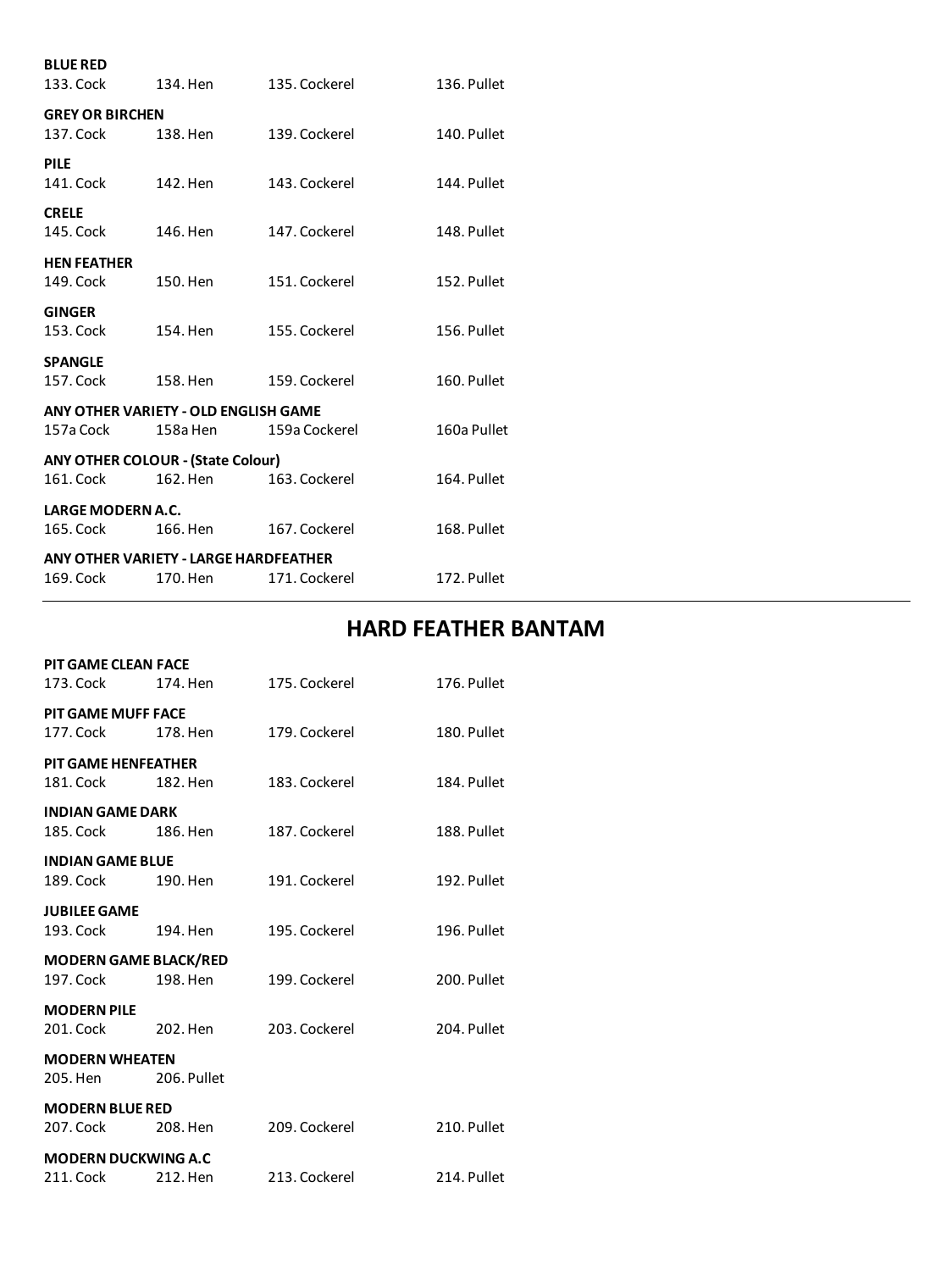| <b>BLUE RED</b>                          |          |                                       |             |
|------------------------------------------|----------|---------------------------------------|-------------|
| 133. Cock                                | 134. Hen | 135. Cockerel                         | 136. Pullet |
| <b>GREY OR BIRCHEN</b>                   |          |                                       |             |
| 137. Cock                                | 138. Hen | 139. Cockerel                         | 140. Pullet |
| <b>PILE</b>                              |          |                                       |             |
| 141. Cock                                | 142. Hen | 143. Cockerel                         | 144. Pullet |
| <b>CRELE</b>                             |          |                                       |             |
| 145. Cock                                | 146. Hen | 147. Cockerel                         | 148. Pullet |
| <b>HEN FEATHER</b>                       |          |                                       |             |
| 149. Cock                                | 150. Hen | 151. Cockerel                         | 152. Pullet |
| <b>GINGER</b>                            |          |                                       |             |
| 153. Cock                                | 154. Hen | 155. Cockerel                         | 156. Pullet |
| <b>SPANGLE</b>                           |          |                                       |             |
| 157. Cock                                | 158. Hen | 159. Cockerel                         | 160. Pullet |
| ANY OTHER VARIETY - OLD ENGLISH GAME     |          |                                       |             |
| 157a Cock                                | 158a Hen | 159a Cockerel                         | 160a Pullet |
| <b>ANY OTHER COLOUR - (State Colour)</b> |          |                                       |             |
| 161. Cock                                | 162. Hen | 163. Cockerel                         | 164. Pullet |
| LARGE MODERN A.C.                        |          |                                       |             |
| 165. Cock                                | 166. Hen | 167. Cockerel                         | 168. Pullet |
|                                          |          | ANY OTHER VARIETY - LARGE HARDFEATHER |             |
| 169. Cock                                | 170. Hen | 171. Cockerel                         | 172. Pullet |

# **HARD FEATHER BANTAM**

| <b>PIT GAME CLEAN FACE</b>   |             |               |             |
|------------------------------|-------------|---------------|-------------|
| 173. Cock                    | 174. Hen    | 175. Cockerel | 176. Pullet |
| <b>PIT GAME MUFF FACE</b>    |             |               |             |
| 177. Cock                    | 178. Hen    | 179. Cockerel | 180. Pullet |
| <b>PIT GAME HENFEATHER</b>   |             |               |             |
| 181. Cock                    | 182. Hen    | 183. Cockerel | 184. Pullet |
| <b>INDIAN GAME DARK</b>      |             |               |             |
| 185. Cock                    | 186. Hen    | 187. Cockerel | 188. Pullet |
| <b>INDIAN GAME BLUE</b>      |             |               |             |
| 189. Cock                    | 190. Hen    | 191. Cockerel | 192. Pullet |
| <b>JUBILEE GAME</b>          |             |               |             |
| 193. Cock                    | 194. Hen    | 195. Cockerel | 196. Pullet |
| <b>MODERN GAME BLACK/RED</b> |             |               |             |
| 197. Cock                    | 198. Hen    | 199. Cockerel | 200. Pullet |
| <b>MODERN PILE</b>           |             |               |             |
| 201. Cock                    | 202. Hen    | 203. Cockerel | 204. Pullet |
| <b>MODERN WHEATEN</b>        |             |               |             |
| 205. Hen                     | 206. Pullet |               |             |
| <b>MODERN BLUE RED</b>       |             |               |             |
| 207. Cock                    | 208. Hen    | 209. Cockerel | 210. Pullet |
| <b>MODERN DUCKWING A.C</b>   |             |               |             |
| 211. Cock                    | 212. Hen    | 213. Cockerel | 214. Pullet |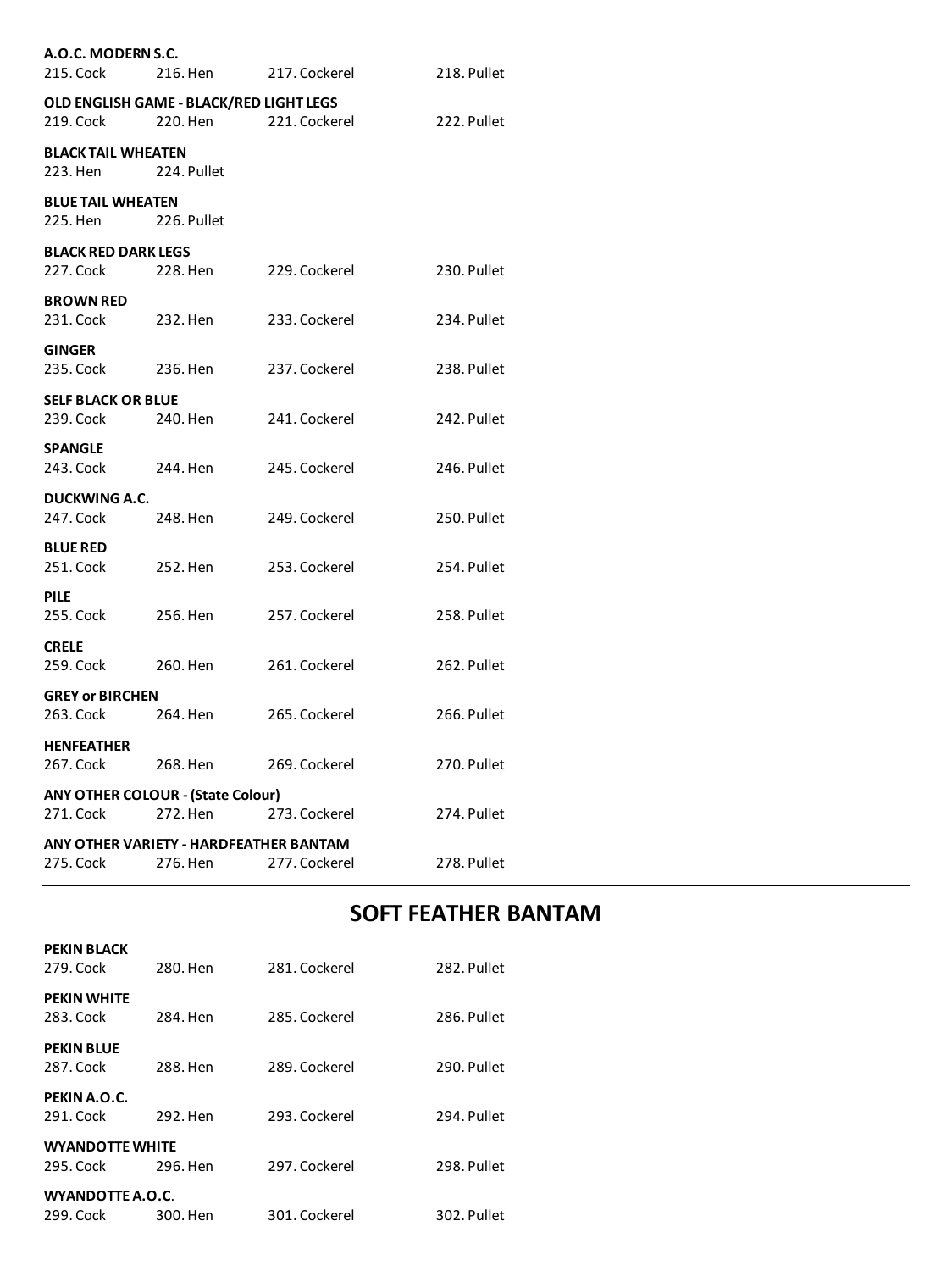| A.O.C. MODERN S.C.<br>215. Cock         | 216. Hen                                             | 217. Cockerel | 218. Pullet |
|-----------------------------------------|------------------------------------------------------|---------------|-------------|
| 219. Cock                               | OLD ENGLISH GAME - BLACK/RED LIGHT LEGS<br>220. Hen  | 221. Cockerel | 222. Pullet |
| <b>BLACK TAIL WHEATEN</b><br>223. Hen   | 224. Pullet                                          |               |             |
| <b>BLUE TAIL WHEATEN</b><br>225. Hen    | 226. Pullet                                          |               |             |
| <b>BLACK RED DARK LEGS</b><br>227. Cock | 228. Hen                                             | 229. Cockerel | 230. Pullet |
| <b>BROWN RED</b><br>231. Cock           | 232. Hen                                             | 233. Cockerel | 234. Pullet |
| <b>GINGER</b><br>235. Cock              | 236. Hen                                             | 237. Cockerel | 238. Pullet |
| <b>SELF BLACK OR BLUE</b><br>239. Cock  | 240. Hen                                             | 241. Cockerel | 242. Pullet |
| <b>SPANGLE</b><br>243. Cock             | 244. Hen                                             | 245. Cockerel | 246. Pullet |
| <b>DUCKWING A.C.</b><br>247. Cock       | 248. Hen                                             | 249. Cockerel | 250. Pullet |
| <b>BLUE RED</b><br>251. Cock            | 252. Hen                                             | 253. Cockerel | 254. Pullet |
| <b>PILE</b><br>255. Cock                | 256. Hen                                             | 257. Cockerel | 258. Pullet |
| <b>CRELE</b><br>259. Cock               | 260. Hen                                             | 261. Cockerel | 262. Pullet |
| <b>GREY or BIRCHEN</b><br>263. Cock     | 264. Hen                                             | 265. Cockerel | 266. Pullet |
| <b>HENFEATHER</b><br>267. Cock          | 268. Hen                                             | 269. Cockerel | 270. Pullet |
| 271. Cock                               | <b>ANY OTHER COLOUR - (State Colour)</b><br>272. Hen | 273. Cockerel | 274. Pullet |
| 275. Cock                               | ANY OTHER VARIETY - HARDFEATHER BANTAM<br>276. Hen   | 277. Cockerel | 278. Pullet |

# **SOFT FEATHER BANTAM**

| 280. Hen                           |          | 282. Pullet                                                                                        |
|------------------------------------|----------|----------------------------------------------------------------------------------------------------|
| 284. Hen                           |          | 286. Pullet                                                                                        |
| 288. Hen                           |          | 290. Pullet                                                                                        |
| 292. Hen                           |          | 294. Pullet                                                                                        |
| <b>WYANDOTTE WHITE</b><br>296. Hen |          | 298. Pullet                                                                                        |
|                                    |          | 302. Pullet                                                                                        |
|                                    | 300. Hen | 281. Cockerel<br>285. Cockerel<br>289. Cockerel<br>293. Cockerel<br>297. Cockerel<br>301. Cockerel |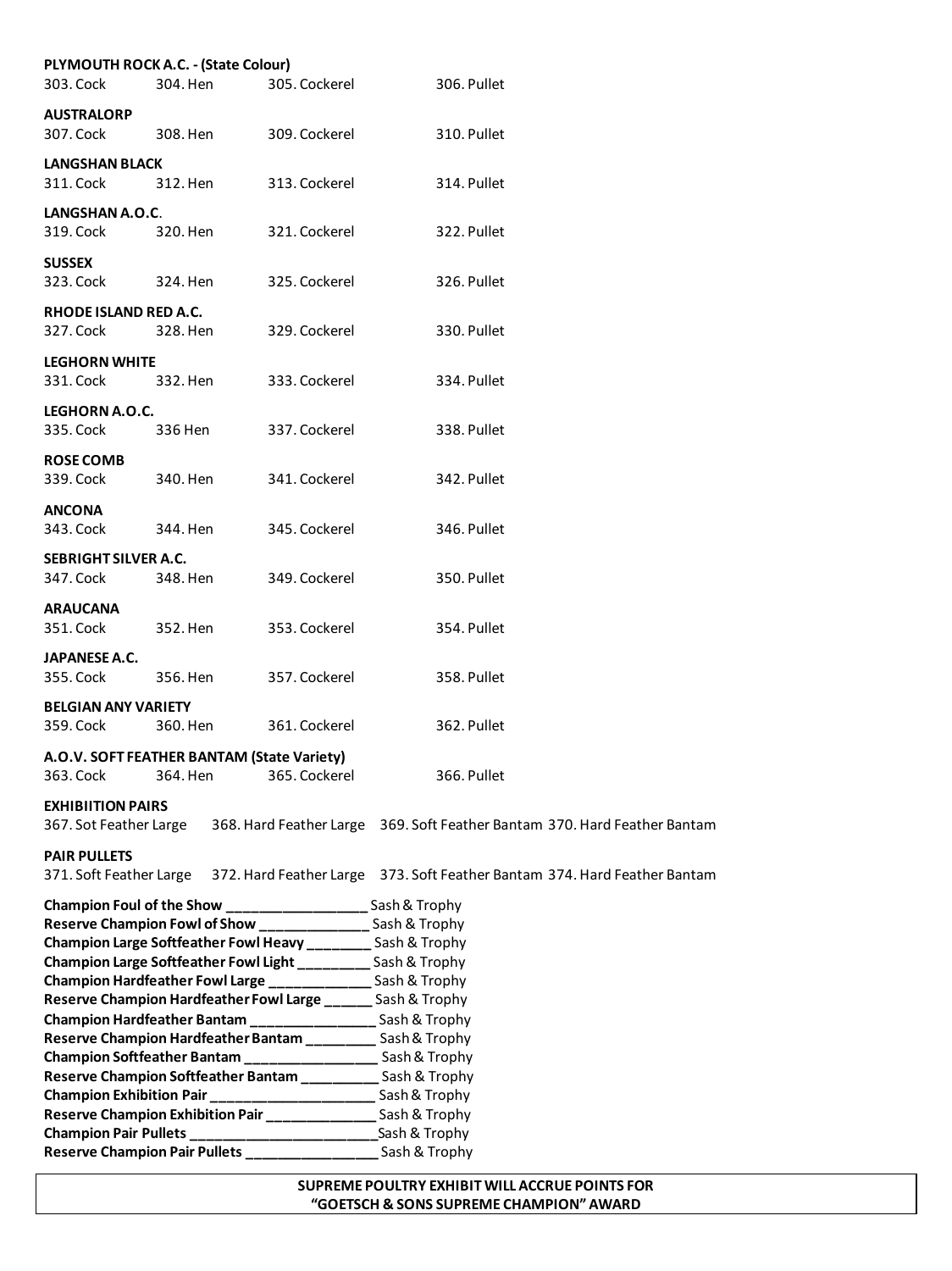|                                    | PLYMOUTH ROCK A.C. - (State Colour)                                                                                              |               |                                                                           |
|------------------------------------|----------------------------------------------------------------------------------------------------------------------------------|---------------|---------------------------------------------------------------------------|
| 303. Cock                          | 304. Hen                                                                                                                         | 305. Cockerel | 306. Pullet                                                               |
| <b>AUSTRALORP</b>                  |                                                                                                                                  |               |                                                                           |
| 307. Cock                          | 308. Hen                                                                                                                         | 309. Cockerel | 310. Pullet                                                               |
|                                    |                                                                                                                                  |               |                                                                           |
| <b>LANGSHAN BLACK</b><br>311. Cock | 312. Hen                                                                                                                         | 313. Cockerel | 314. Pullet                                                               |
|                                    |                                                                                                                                  |               |                                                                           |
| LANGSHAN A.O.C.                    |                                                                                                                                  |               |                                                                           |
| 319. Cock                          | 320. Hen                                                                                                                         | 321. Cockerel | 322. Pullet                                                               |
| <b>SUSSEX</b>                      |                                                                                                                                  |               |                                                                           |
| 323. Cock                          | 324. Hen                                                                                                                         | 325. Cockerel | 326. Pullet                                                               |
| RHODE ISLAND RED A.C.              |                                                                                                                                  |               |                                                                           |
| 327. Cock                          | 328. Hen                                                                                                                         | 329. Cockerel | 330. Pullet                                                               |
|                                    |                                                                                                                                  |               |                                                                           |
| <b>LEGHORN WHITE</b>               |                                                                                                                                  |               |                                                                           |
| 331. Cock                          | 332. Hen                                                                                                                         | 333. Cockerel | 334. Pullet                                                               |
| LEGHORN A.O.C.                     |                                                                                                                                  |               |                                                                           |
| 335. Cock                          | 336 Hen                                                                                                                          | 337. Cockerel | 338. Pullet                                                               |
| <b>ROSE COMB</b>                   |                                                                                                                                  |               |                                                                           |
| 339. Cock                          | 340. Hen                                                                                                                         | 341. Cockerel | 342. Pullet                                                               |
|                                    |                                                                                                                                  |               |                                                                           |
| <b>ANCONA</b>                      |                                                                                                                                  |               |                                                                           |
| 343. Cock                          | 344. Hen                                                                                                                         | 345. Cockerel | 346. Pullet                                                               |
| SEBRIGHT SILVER A.C.               |                                                                                                                                  |               |                                                                           |
| 347. Cock                          | 348. Hen                                                                                                                         | 349. Cockerel | 350. Pullet                                                               |
| <b>ARAUCANA</b>                    |                                                                                                                                  |               |                                                                           |
| 351. Cock                          | 352. Hen                                                                                                                         | 353. Cockerel | 354. Pullet                                                               |
|                                    |                                                                                                                                  |               |                                                                           |
| JAPANESE A.C.                      |                                                                                                                                  |               |                                                                           |
| 355. Cock                          | 356. Hen                                                                                                                         | 357. Cockerel | 358. Pullet                                                               |
| <b>BELGIAN ANY VARIETY</b>         |                                                                                                                                  |               |                                                                           |
| 359. Cock                          | 360. Hen                                                                                                                         | 361. Cockerel | 362. Pullet                                                               |
|                                    | A.O.V. SOFT FEATHER BANTAM (State Variety)                                                                                       |               |                                                                           |
| 363. Cock                          | 364. Hen                                                                                                                         | 365. Cockerel | 366. Pullet                                                               |
|                                    |                                                                                                                                  |               |                                                                           |
| <b>EXHIBIITION PAIRS</b>           |                                                                                                                                  |               |                                                                           |
| 367. Sot Feather Large             |                                                                                                                                  |               | 368. Hard Feather Large 369. Soft Feather Bantam 370. Hard Feather Bantam |
| <b>PAIR PULLETS</b>                |                                                                                                                                  |               |                                                                           |
| 371. Soft Feather Large            |                                                                                                                                  |               | 372. Hard Feather Large 373. Soft Feather Bantam 374. Hard Feather Bantam |
|                                    | Champion Foul of the Show ____________________________ Sash & Trophy                                                             |               |                                                                           |
|                                    | Reserve Champion Fowl of Show ___________________ Sash & Trophy                                                                  |               |                                                                           |
|                                    | Champion Large Softfeather Fowl Heavy _________ Sash & Trophy                                                                    |               |                                                                           |
|                                    | Champion Large Softfeather Fowl Light _________ Sash & Trophy                                                                    |               |                                                                           |
|                                    | Champion Hardfeather Fowl Large ________________ Sash & Trophy                                                                   |               |                                                                           |
|                                    | Reserve Champion Hardfeather Fowl Large ______ Sash & Trophy                                                                     |               |                                                                           |
|                                    | Champion Hardfeather Bantam _____________________Sash & Trophy                                                                   |               |                                                                           |
|                                    | Reserve Champion Hardfeather Bantam __________ Sash & Trophy<br>Champion Softfeather Bantam ______________________ Sash & Trophy |               |                                                                           |
|                                    |                                                                                                                                  |               |                                                                           |

**Reserve Champion Softfeather Bantam \_\_\_\_\_\_\_\_\_\_** Sash & Trophy **Champion Exhibition Pair \_\_\_\_\_\_\_\_\_\_\_\_\_\_\_\_\_\_\_\_\_** Sash & Trophy **Reserve Champion Exhibition Pair \_\_\_\_\_\_\_\_\_\_\_\_\_\_** Sash & Trophy **Champion Pair Pullets \_\_\_\_\_\_\_\_\_\_\_\_\_\_\_\_\_\_\_\_\_\_\_\_**Sash & Trophy

## **Reserve Champion Pair Pullets \_\_\_\_\_\_\_\_\_\_\_\_\_\_\_\_\_** Sash & Trophy **SUPREME POULTRY EXHIBIT WILL ACCRUE POINTS FOR "GOETSCH & SONS SUPREME CHAMPION" AWARD**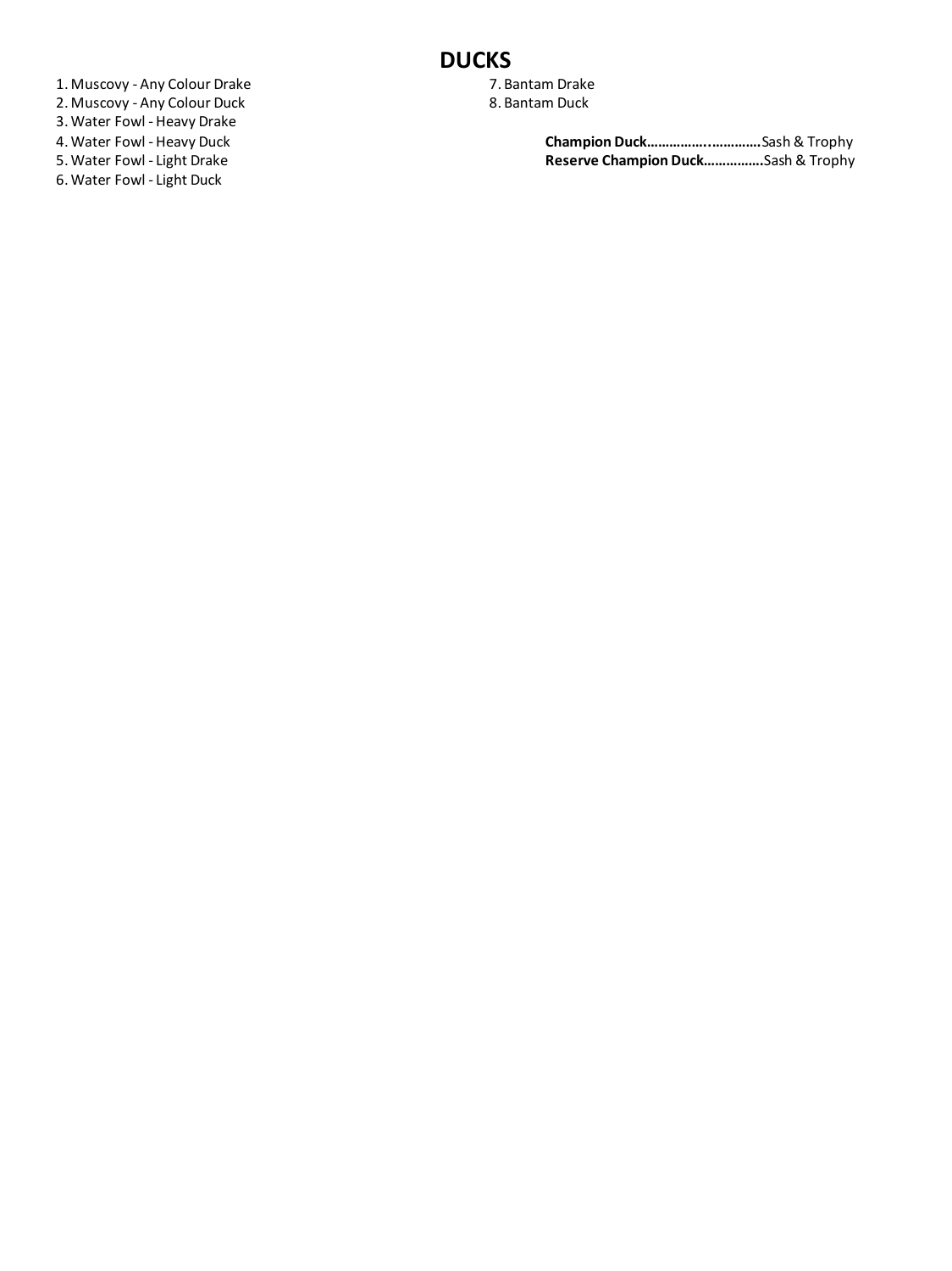1. Muscovy - Any Colour Drake 2. Muscovy - Any Colour Duck

- 3. Water Fowl Heavy Drake
- 4. Water Fowl Heavy Duck
- 5. Water Fowl Light Drake
- 6. Water Fowl Light Duck
- **DUCKS**
	- 7. Bantam Drake
	- 8. Bantam Duck

**Champion Duck……………..………….**Sash & Trophy **Reserve Champion Duck…………….**Sash & Trophy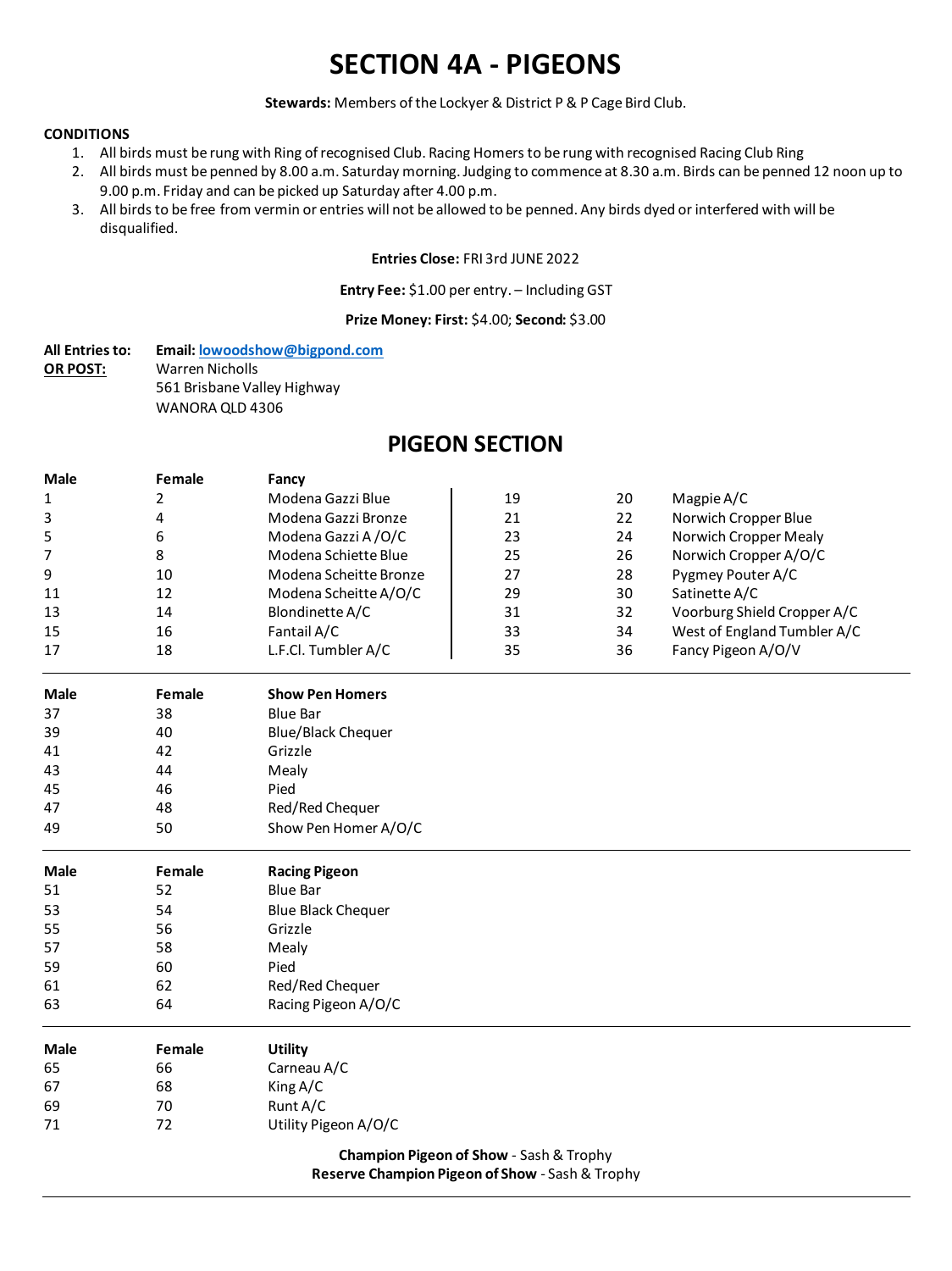# **SECTION 4A - PIGEONS**

**Stewards:** Members of the Lockyer & District P & P Cage Bird Club.

#### **CONDITIONS**

- 1. All birds must be rung with Ring of recognised Club. Racing Homers to be rung with recognised Racing Club Ring
- 2. All birds must be penned by 8.00 a.m. Saturday morning. Judging to commence at 8.30 a.m. Birds can be penned 12 noon up to 9.00 p.m. Friday and can be picked up Saturday after 4.00 p.m.
- 3. All birds to be free from vermin or entries will not be allowed to be penned. Any birds dyed or interfered with will be disqualified.

#### **Entries Close:** FRI 3rd JUNE 2022

#### **Entry Fee:** \$1.00 per entry. – Including GST

## **Prize Money: First:** \$4.00; **Second:** \$3.00

All Entries to: Email: **lowoodshow@bigpond.com**<br> **OR POST:** Warren Nicholls **OR POST:** Warren Nicholls 561 Brisbane Valley Highway WANORA QLD 4306

## **PIGEON SECTION**

| <b>Male</b> | Female | Fancy                                   |    |    |                             |
|-------------|--------|-----------------------------------------|----|----|-----------------------------|
| 1           | 2      | Modena Gazzi Blue                       | 19 | 20 | Magpie A/C                  |
| 3           | 4      | Modena Gazzi Bronze                     | 21 | 22 | Norwich Cropper Blue        |
| 5           | 6      | Modena Gazzi A/O/C                      | 23 | 24 | Norwich Cropper Mealy       |
| 7           | 8      | Modena Schiette Blue                    | 25 | 26 | Norwich Cropper A/O/C       |
| 9           | 10     | Modena Scheitte Bronze                  | 27 | 28 | Pygmey Pouter A/C           |
| 11          | 12     | Modena Scheitte A/O/C                   | 29 | 30 | Satinette A/C               |
| 13          | 14     | Blondinette A/C                         | 31 | 32 | Voorburg Shield Cropper A/C |
| 15          | 16     | Fantail A/C                             | 33 | 34 | West of England Tumbler A/C |
| 17          | 18     | L.F.Cl. Tumbler A/C                     | 35 | 36 | Fancy Pigeon A/O/V          |
| <b>Male</b> | Female | <b>Show Pen Homers</b>                  |    |    |                             |
| 37          | 38     | <b>Blue Bar</b>                         |    |    |                             |
| 39          | 40     | <b>Blue/Black Chequer</b>               |    |    |                             |
| 41          | 42     | Grizzle                                 |    |    |                             |
| 43          | 44     | Mealy                                   |    |    |                             |
| 45          | 46     | Pied                                    |    |    |                             |
| 47          | 48     | Red/Red Chequer                         |    |    |                             |
| 49          | 50     | Show Pen Homer A/O/C                    |    |    |                             |
| <b>Male</b> | Female | <b>Racing Pigeon</b>                    |    |    |                             |
| 51          | 52     | <b>Blue Bar</b>                         |    |    |                             |
| 53          | 54     | <b>Blue Black Chequer</b>               |    |    |                             |
| 55          | 56     | Grizzle                                 |    |    |                             |
| 57          | 58     | Mealy                                   |    |    |                             |
| 59          | 60     | Pied                                    |    |    |                             |
| 61          | 62     | Red/Red Chequer                         |    |    |                             |
| 63          | 64     | Racing Pigeon A/O/C                     |    |    |                             |
| <b>Male</b> | Female | <b>Utility</b>                          |    |    |                             |
| 65          | 66     | Carneau A/C                             |    |    |                             |
| 67          | 68     | King A/C                                |    |    |                             |
| 69          | 70     | Runt A/C                                |    |    |                             |
| 71          | 72     | Utility Pigeon A/O/C                    |    |    |                             |
|             |        | Champion Pigeon of Show - Sash & Trophy |    |    |                             |

**Reserve Champion Pigeon of Show** - Sash & Trophy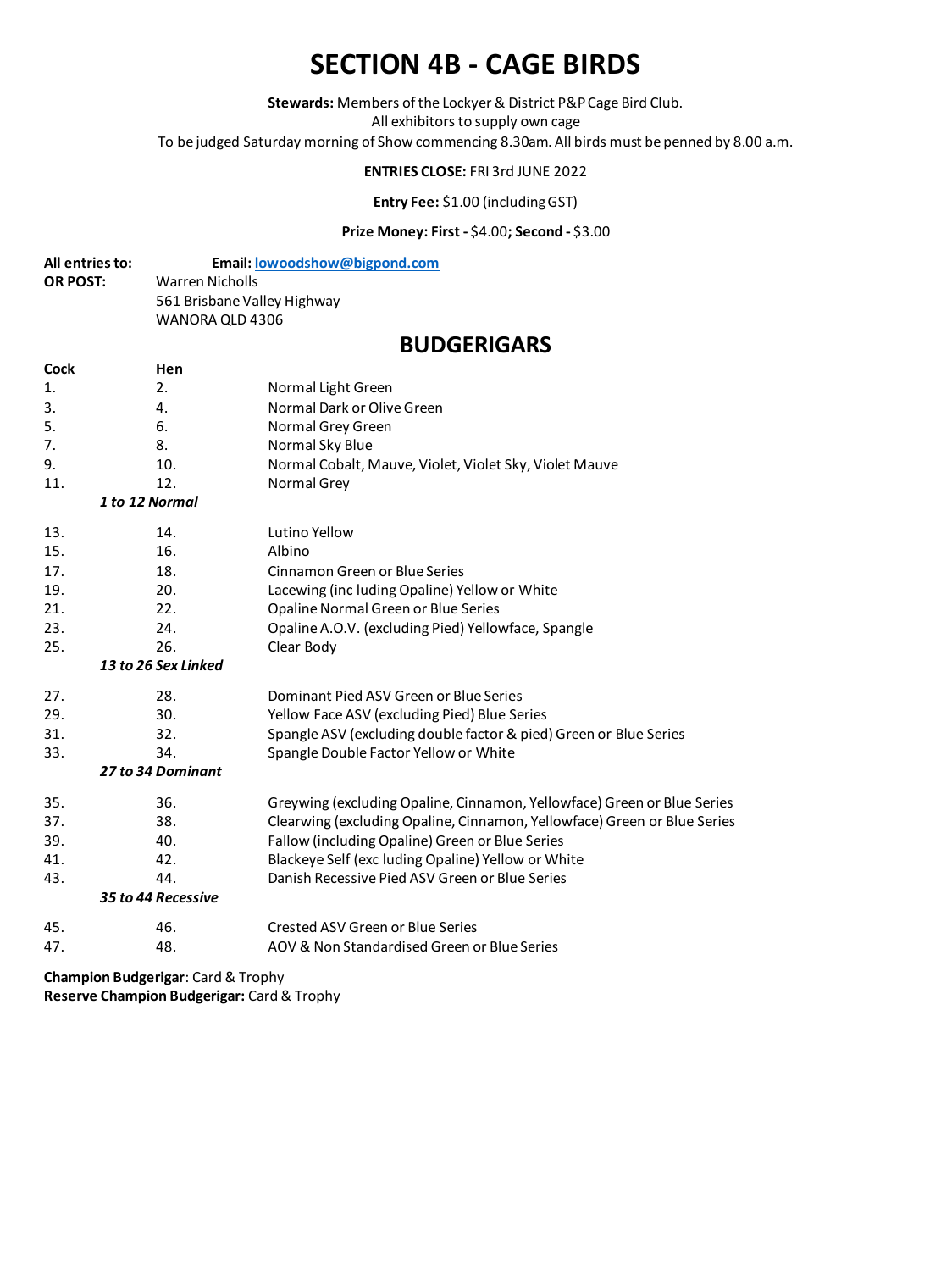# **SECTION 4B - CAGE BIRDS**

**Stewards:** Members of the Lockyer & District P&P Cage Bird Club.

All exhibitors to supply own cage

To be judged Saturday morning of Show commencing 8.30am. All birds must be penned by 8.00 a.m.

## **ENTRIES CLOSE:** FRI 3rd JUNE 2022

**Entry Fee:** \$1.00 (including GST)

## **Prize Money: First -** \$4.00**; Second -** \$3.00

| All entries to: | Email: lowoodshow@bigpond.com |
|-----------------|-------------------------------|
| <b>OR POST:</b> | Warren Nicholls               |
|                 | 561 Brisbane Valley Highway   |
|                 | WANORA OLD 4306               |
|                 |                               |

## **BUDGERIGARS**

| <b>Cock</b> | Hen                 |                                                                          |
|-------------|---------------------|--------------------------------------------------------------------------|
| 1.          | 2.                  | Normal Light Green                                                       |
| 3.          | 4.                  | Normal Dark or Olive Green                                               |
| 5.          | 6.                  | Normal Grey Green                                                        |
| 7.          | 8.                  | Normal Sky Blue                                                          |
| 9.          | 10.                 | Normal Cobalt, Mauve, Violet, Violet Sky, Violet Mauve                   |
| 11.         | 12.                 | Normal Grey                                                              |
|             | 1 to 12 Normal      |                                                                          |
| 13.         | 14.                 | Lutino Yellow                                                            |
| 15.         | 16.                 | Albino                                                                   |
| 17.         | 18.                 | Cinnamon Green or Blue Series                                            |
| 19.         | 20.                 | Lacewing (inc luding Opaline) Yellow or White                            |
| 21.         | 22.                 | Opaline Normal Green or Blue Series                                      |
| 23.         | 24.                 | Opaline A.O.V. (excluding Pied) Yellowface, Spangle                      |
| 25.         | 26.                 | Clear Body                                                               |
|             | 13 to 26 Sex Linked |                                                                          |
| 27.         | 28.                 | Dominant Pied ASV Green or Blue Series                                   |
| 29.         | 30.                 | Yellow Face ASV (excluding Pied) Blue Series                             |
| 31.         | 32.                 | Spangle ASV (excluding double factor & pied) Green or Blue Series        |
| 33.         | 34.                 | Spangle Double Factor Yellow or White                                    |
|             | 27 to 34 Dominant   |                                                                          |
| 35.         | 36.                 | Greywing (excluding Opaline, Cinnamon, Yellowface) Green or Blue Series  |
| 37.         | 38.                 | Clearwing (excluding Opaline, Cinnamon, Yellowface) Green or Blue Series |
| 39.         | 40.                 | Fallow (including Opaline) Green or Blue Series                          |
| 41.         | 42.                 | Blackeye Self (exc luding Opaline) Yellow or White                       |
| 43.         | 44.                 | Danish Recessive Pied ASV Green or Blue Series                           |
|             | 35 to 44 Recessive  |                                                                          |
| 45.         | 46.                 | Crested ASV Green or Blue Series                                         |
| 47.         | 48.                 | AOV & Non Standardised Green or Blue Series                              |

**Champion Budgerigar**: Card & Trophy **Reserve Champion Budgerigar:** Card & Trophy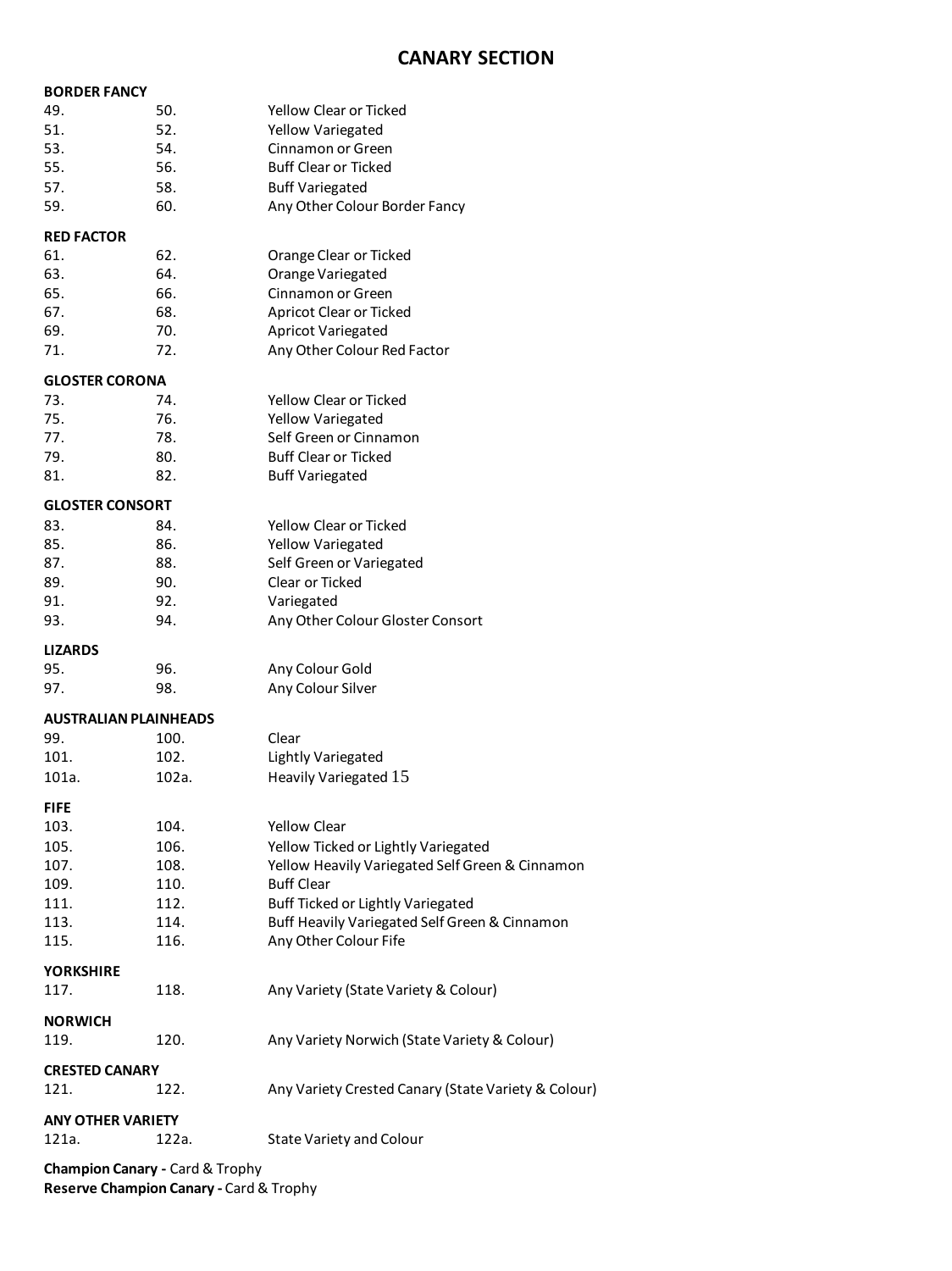## **CANARY SECTION**

| <b>BORDER FANCY</b>          |       |                                                     |
|------------------------------|-------|-----------------------------------------------------|
| 49.                          | 50.   | Yellow Clear or Ticked                              |
| 51.                          | 52.   | <b>Yellow Variegated</b>                            |
| 53.                          | 54.   | Cinnamon or Green                                   |
| 55.                          | 56.   | <b>Buff Clear or Ticked</b>                         |
| 57.                          | 58.   | <b>Buff Variegated</b>                              |
| 59.                          | 60.   | Any Other Colour Border Fancy                       |
|                              |       |                                                     |
| <b>RED FACTOR</b>            |       |                                                     |
| 61.                          | 62.   | Orange Clear or Ticked                              |
| 63.                          | 64.   | Orange Variegated                                   |
| 65.                          | 66.   | Cinnamon or Green                                   |
| 67.                          | 68.   | <b>Apricot Clear or Ticked</b>                      |
| 69.                          | 70.   | <b>Apricot Variegated</b>                           |
| 71.                          | 72.   | Any Other Colour Red Factor                         |
| <b>GLOSTER CORONA</b>        |       |                                                     |
| 73.                          | 74.   | Yellow Clear or Ticked                              |
| 75.                          | 76.   | Yellow Variegated                                   |
| 77.                          | 78.   | Self Green or Cinnamon                              |
| 79.                          | 80.   | <b>Buff Clear or Ticked</b>                         |
| 81.                          | 82.   | <b>Buff Variegated</b>                              |
|                              |       |                                                     |
| <b>GLOSTER CONSORT</b>       |       |                                                     |
| 83.                          | 84.   | <b>Yellow Clear or Ticked</b>                       |
| 85.                          | 86.   | <b>Yellow Variegated</b>                            |
| 87.                          | 88.   | Self Green or Variegated                            |
| 89.                          | 90.   | Clear or Ticked                                     |
| 91.                          | 92.   | Variegated                                          |
| 93.                          | 94.   | Any Other Colour Gloster Consort                    |
|                              |       |                                                     |
|                              |       |                                                     |
| <b>LIZARDS</b>               |       |                                                     |
| 95.                          | 96.   | Any Colour Gold                                     |
| 97.                          | 98.   | Any Colour Silver                                   |
| <b>AUSTRALIAN PLAINHEADS</b> |       |                                                     |
| 99.                          | 100.  | Clear                                               |
| 101.                         | 102.  | <b>Lightly Variegated</b>                           |
| 101a.                        | 102a. | Heavily Variegated 15                               |
|                              |       |                                                     |
| <b>FIFE</b>                  |       |                                                     |
| 103.                         | 104.  | <b>Yellow Clear</b>                                 |
| 105.                         | 106.  | Yellow Ticked or Lightly Variegated                 |
| 107.                         | 108.  | Yellow Heavily Variegated Self Green & Cinnamon     |
| 109.                         | 110.  | <b>Buff Clear</b>                                   |
| 111.                         | 112.  | Buff Ticked or Lightly Variegated                   |
| 113.                         | 114.  | Buff Heavily Variegated Self Green & Cinnamon       |
| 115.                         | 116.  | Any Other Colour Fife                               |
| <b>YORKSHIRE</b>             |       |                                                     |
| 117.                         | 118.  | Any Variety (State Variety & Colour)                |
|                              |       |                                                     |
| <b>NORWICH</b>               |       |                                                     |
| 119.                         | 120.  | Any Variety Norwich (State Variety & Colour)        |
| <b>CRESTED CANARY</b>        |       |                                                     |
| 121.                         | 122.  | Any Variety Crested Canary (State Variety & Colour) |
|                              |       |                                                     |
| <b>ANY OTHER VARIETY</b>     |       |                                                     |
| 121a.                        | 122a. | <b>State Variety and Colour</b>                     |

**Reserve Champion Canary -** Card & Trophy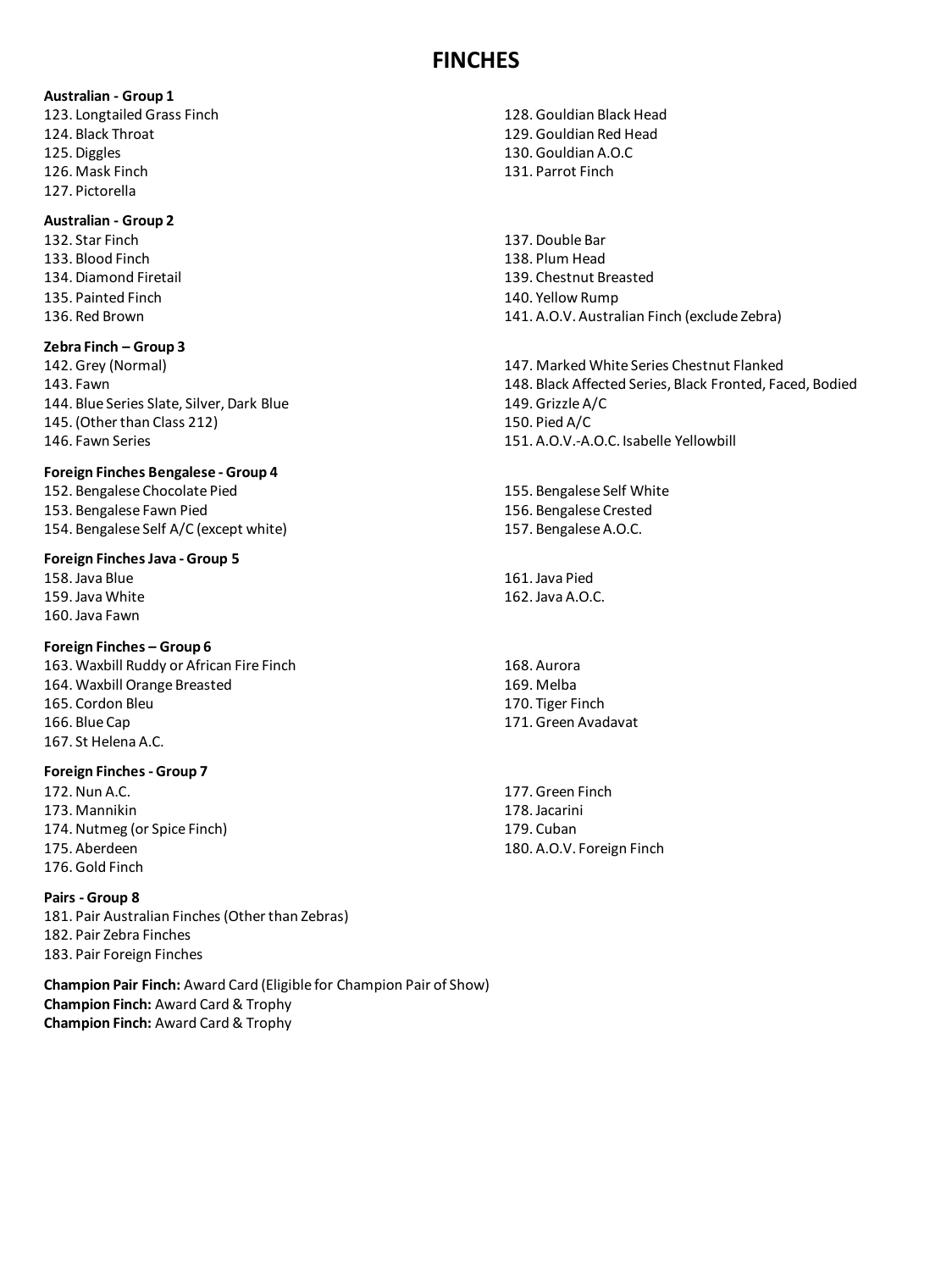## **FINCHES**

#### **Australian - Group 1**

123. Longtailed Grass Finch 124. Black Throat 125. Diggles 126. Mask Finch 127. Pictorella

## **Australian - Group 2**

132. Star Finch 133. Blood Finch 134. Diamond Firetail 135. Painted Finch 136. Red Brown

## **Zebra Finch – Group 3**

142. Grey (Normal) 143. Fawn 144. Blue Series Slate, Silver, Dark Blue 145. (Other than Class 212) 146. Fawn Series

## **Foreign Finches Bengalese - Group 4**

152. Bengalese Chocolate Pied 153. Bengalese Fawn Pied 154. Bengalese Self A/C (except white)

#### **Foreign Finches Java - Group 5**

158. Java Blue 159. Java White 160. Java Fawn

### **Foreign Finches – Group 6**

163. Waxbill Ruddy or African Fire Finch 164. Waxbill Orange Breasted 165. Cordon Bleu 166. Blue Cap 167. St Helena A.C.

### **Foreign Finches - Group 7**

172. Nun A.C. 173. Mannikin 174. Nutmeg (or Spice Finch) 175. Aberdeen 176. Gold Finch

## **Pairs - Group 8**

181. Pair Australian Finches (Other than Zebras) 182. Pair Zebra Finches 183. Pair Foreign Finches

**Champion Pair Finch:** Award Card (Eligible for Champion Pair of Show) **Champion Finch:** Award Card & Trophy **Champion Finch:** Award Card & Trophy

- 128. Gouldian Black Head 129. Gouldian Red Head 130. Gouldian A.O.C 131. Parrot Finch
- 137. Double Bar 138. Plum Head 139. Chestnut Breasted 140. Yellow Rump 141. A.O.V. Australian Finch (exclude Zebra)
- 147. Marked White Series Chestnut Flanked 148. Black Affected Series, Black Fronted, Faced, Bodied 149. Grizzle A/C 150. Pied A/C 151. A.O.V.-A.O.C. Isabelle Yellowbill

155. Bengalese Self White 156. Bengalese Crested 157. Bengalese A.O.C.

161. Java Pied 162. Java A.O.C.

168. Aurora 169. Melba 170. Tiger Finch 171. Green Avadavat

177. Green Finch 178. Jacarini 179. Cuban 180. A.O.V. Foreign Finch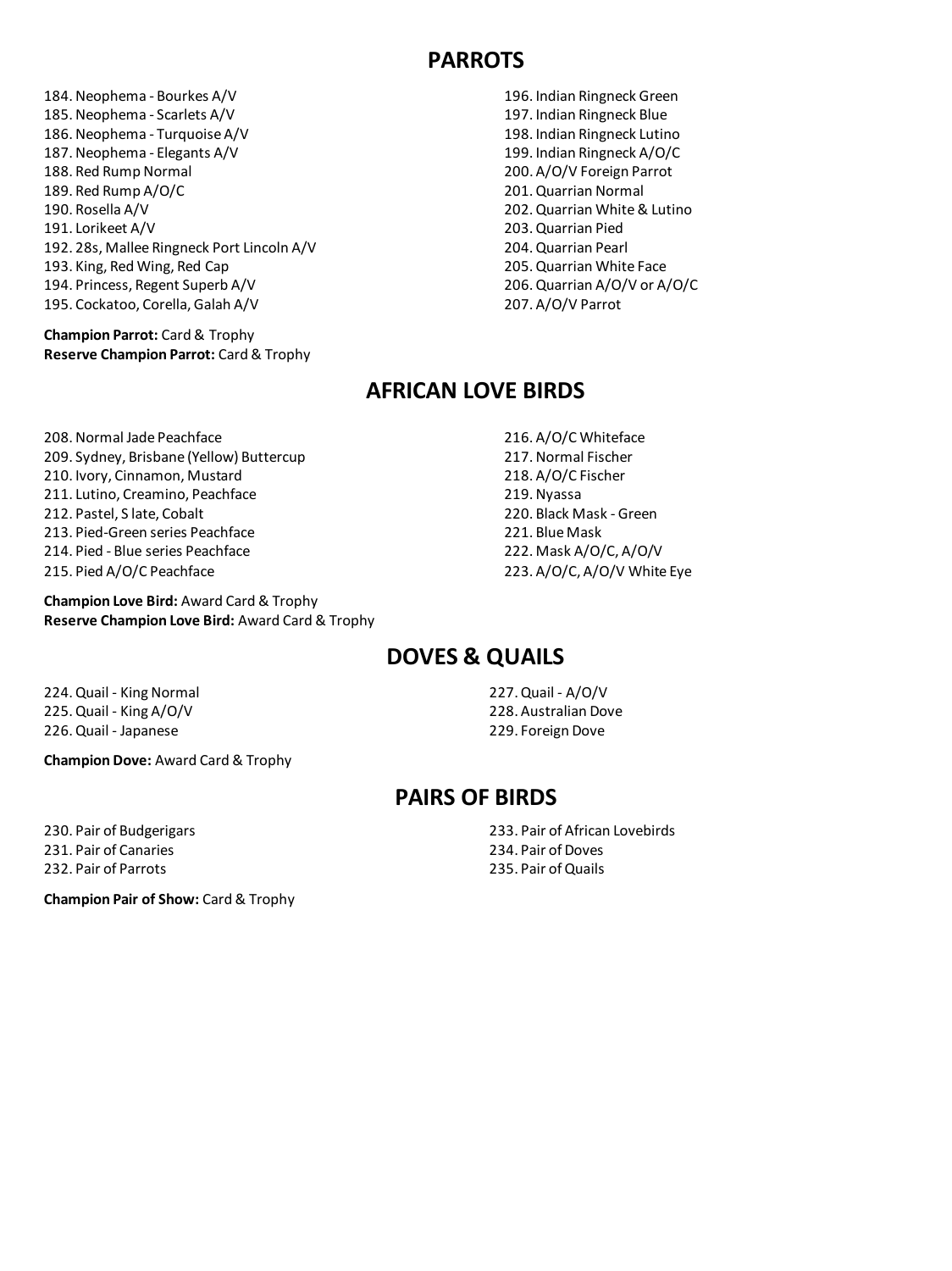## **PARROTS**

- 184. Neophema Bourkes A/V 185. Neophema - Scarlets A/V 186. Neophema - Turquoise A/V 187. Neophema - Elegants A/V 188. Red Rump Normal 189. Red Rump A/O/C 190. Rosella A/V 191. Lorikeet A/V 192. 28s, Mallee Ringneck Port Lincoln A/V 193. King, Red Wing, Red Cap 194. Princess, Regent Superb A/V 195. Cockatoo, Corella, Galah A/V
- **Champion Parrot:** Card & Trophy **Reserve Champion Parrot:** Card & Trophy

196. Indian Ringneck Green 197. Indian Ringneck Blue 198. Indian Ringneck Lutino 199. Indian Ringneck A/O/C 200. A/O/V Foreign Parrot 201. Quarrian Normal 202. Quarrian White & Lutino 203. Quarrian Pied 204. Quarrian Pearl 205. Quarrian White Face 206. Quarrian A/O/V or A/O/C

207. A/O/V Parrot

## **AFRICAN LOVE BIRDS**

208. Normal Jade Peachface 209. Sydney, Brisbane (Yellow) Buttercup 210. Ivory, Cinnamon, Mustard 211. Lutino, Creamino, Peachface 212. Pastel, S late, Cobalt 213. Pied-Green series Peachface 214. Pied - Blue series Peachface 215. Pied A/O/C Peachface

**Champion Love Bird:** Award Card & Trophy **Reserve Champion Love Bird:** Award Card & Trophy 216. A/O/C Whiteface 217. Normal Fischer 218. A/O/C Fischer 219. Nyassa 220. Black Mask - Green 221. Blue Mask 222. Mask A/O/C, A/O/V 223. A/O/C, A/O/V White Eye

## **DOVES & QUAILS**

224. Quail - King Normal 225. Quail - King A/O/V 226. Quail - Japanese

**Champion Dove:** Award Card & Trophy

230. Pair of Budgerigars 231. Pair of Canaries 232. Pair of Parrots

**Champion Pair of Show:** Card & Trophy

227. Quail - A/O/V 228. Australian Dove 229. Foreign Dove

## **PAIRS OF BIRDS**

233. Pair of African Lovebirds 234. Pair of Doves 235. Pair of Quails